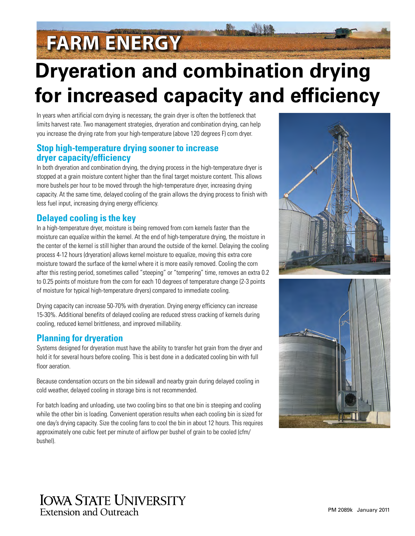# **FARM ENERGY**

## **Dryeration and combination drying for increased capacity and efficiency**

In years when artificial corn drying is necessary, the grain dryer is often the bottleneck that limits harvest rate. Two management strategies, dryeration and combination drying, can help you increase the drying rate from your high-temperature (above 120 degrees F) corn dryer.

#### **Stop high-temperature drying sooner to increase dryer capacity/efficiency**

In both dryeration and combination drying, the drying process in the high-temperature dryer is stopped at a grain moisture content higher than the final target moisture content. This allows more bushels per hour to be moved through the high-temperature dryer, increasing drying capacity. At the same time, delayed cooling of the grain allows the drying process to finish with less fuel input, increasing drying energy efficiency.

#### **Delayed cooling is the key**

In a high-temperature dryer, moisture is being removed from corn kernels faster than the moisture can equalize within the kernel. At the end of high-temperature drying, the moisture in the center of the kernel is still higher than around the outside of the kernel. Delaying the cooling process 4-12 hours (dryeration) allows kernel moisture to equalize, moving this extra core moisture toward the surface of the kernel where it is more easily removed. Cooling the corn after this resting period, sometimes called "steeping" or "tempering" time, removes an extra 0.2 to 0.25 points of moisture from the corn for each 10 degrees of temperature change (2-3 points of moisture for typical high-temperature dryers) compared to immediate cooling.

Drying capacity can increase 50-70% with dryeration. Drying energy efficiency can increase 15-30%. Additional benefits of delayed cooling are reduced stress cracking of kernels during cooling, reduced kernel brittleness, and improved millability.

### **Planning for dryeration**

Systems designed for dryeration must have the ability to transfer hot grain from the dryer and hold it for several hours before cooling. This is best done in a dedicated cooling bin with full floor aeration.

Because condensation occurs on the bin sidewall and nearby grain during delayed cooling in cold weather, delayed cooling in storage bins is not recommended.

For batch loading and unloading, use two cooling bins so that one bin is steeping and cooling while the other bin is loading. Convenient operation results when each cooling bin is sized for one day's drying capacity. Size the cooling fans to cool the bin in about 12 hours. This requires approximately one cubic feet per minute of airflow per bushel of grain to be cooled (cfm/ bushel).





## **IOWA STATE UNIVERSITY Extension and Outreach**